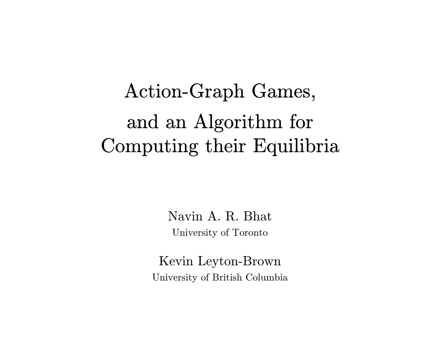# Action-Graph Games, and an Algorithm for Computing their Equilibria

Navin A. R. Bhat University of Toronto

Kevin Leyton-Brown University of British Columbia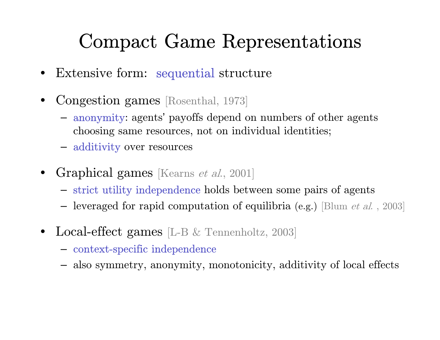#### Compact Game Representations

- $\bullet$ Extensive form: sequential structure
- • Congestion games [Rosenthal, 1973]
	- anonymity: agents' payoffs depend on numbers of other agents choosing same resources, not on individual identities;
	- additivity over resources
- • Graphical games [Kearns et al., 2001]
	- strict utility independence holds between some pairs of agents
	- $-$  leveraged for rapid computation of equilibria (e.g.) [Blum *et al.*, 2003]
- • Local-effect games [L-B & Tennenholtz, 2003]
	- context-specific independence
	- also symmetry, anonymity, monotonicity, additivity of local effects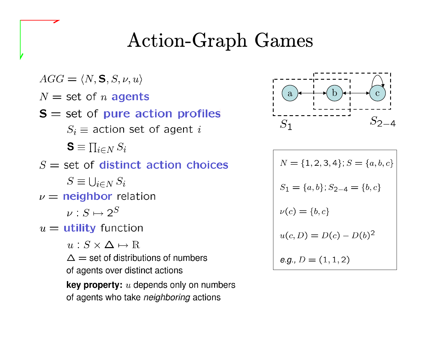### Action-Graph Games

 $AGG = \langle N, \mathbf{S}, S, \nu, u \rangle$  $N =$  set of *n* agents  $S =$  set of pure action profiles  $S_i \equiv$  action set of agent i  $\mathbf{S} \equiv \prod_{i \in N} S_i$  $S =$  set of distinct action choices  $S \equiv \bigcup_{i \in N} S_i$  $\nu =$  neighbor relation  $\nu: S \mapsto 2^S$  $u =$  utility function

 $u: S \times \Delta \mapsto \mathbb{R}$ 

 $\Delta$  = set of distributions of numbers of agents over distinct actions

**key property:**  $u$  depends only on numbers of agents who take neighboring actions



$$
N = \{1, 2, 3, 4\}; S = \{a, b, c\}
$$
  
\n
$$
S_1 = \{a, b\}; S_{2-4} = \{b, c\}
$$
  
\n
$$
\nu(c) = \{b, c\}
$$
  
\n
$$
u(c, D) = D(c) - D(b)^2
$$
  
\n
$$
e.g., D = (1, 1, 2)
$$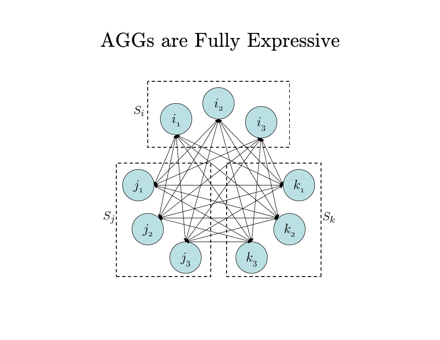#### AGGs are Fully Expressive

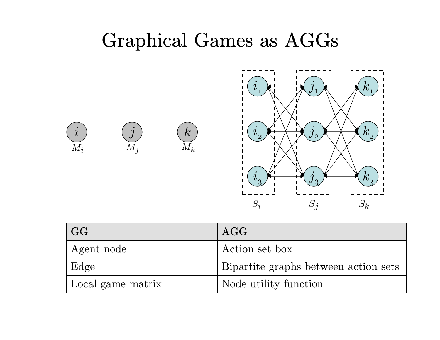#### Graphical Games as AGGs





| $\mid$ GG         | AGG                                  |
|-------------------|--------------------------------------|
| Agent node        | Action set box                       |
| ' Edge            | Bipartite graphs between action sets |
| Local game matrix | Node utility function                |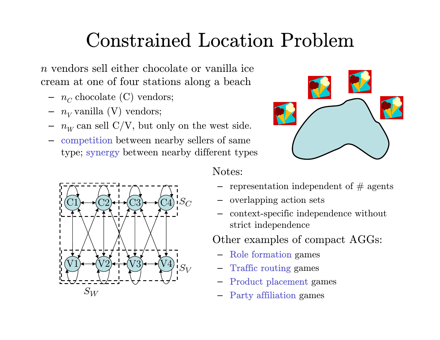## Constrained Location Problem

 $n$  vendors sell either chocolate or vanilla ice cream at one of four stations along a beach

- $-~~ n_C^{} \ {\rm chocolate}\ ({\rm C})\ {\rm vendors};$
- $n_V$  vanilla (V) vendors;
- $n_W^{}$  can sell C/V, but only on the west side.
- competition between nearby sellers of same type; synergy between nearby different types





Notes:

- $\hbox{--}$  representation independent of  $\#$  agents
- overlapping action sets
- context-specific independence without strict independence

Other examples of compact AGGs:

- Role formatio n games
- Traffic routing games
- Product placement games
- Party affiliation games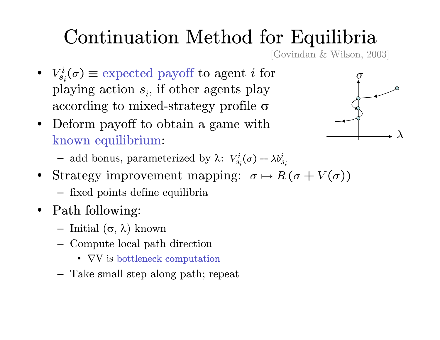## Continuation Method for Equilibria

[Govindan & Wilson, 2003]

- $V_{s_i}^i(\sigma) \equiv$  expected payoff to agent i for playing action  $s_i$ , if other agents play according to mixed-strategy profile  $\sigma$
- Deform payoff to obtain a game with known equilibrium:



- add bonus, parameterized by λ:
- Strategy improvement mapping:
	- fixed points define equilibria
- Path following:
	- $-$  Initial (σ, λ) known
	- Compute local path direction
		- $\nabla$ V is bottleneck computation
	- Take small step along path; repeat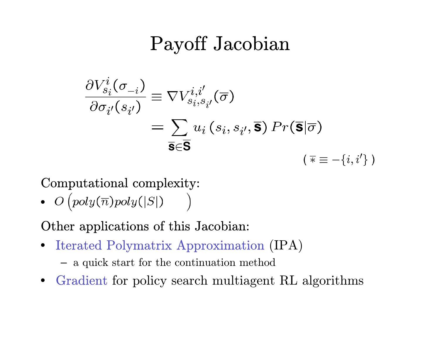#### Payoff Jacobian

$$
\frac{\partial V_{s_i}^i(\sigma_{-i})}{\partial \sigma_{i'}(s_{i'})} \equiv \nabla V_{s_i,s_{i'}}^{i,i'}(\overline{\sigma})
$$
\n
$$
= \sum_{\overline{\mathbf{s}} \in \overline{\mathbf{S}}} u_i(s_i, s_{i'}, \overline{\mathbf{s}}) Pr(\overline{\mathbf{s}} | \overline{\sigma})
$$
\n
$$
(\overline{\mathbf{s}} \equiv -\{i, i'\})
$$

Computational complexity:

•

Other applications of this Jacobian:

- $\bullet$ • Iterated Polymatrix Approximation (IPA)
	- a quick start for the continuation method
- •• Gradient for policy search multiagent RL algorithms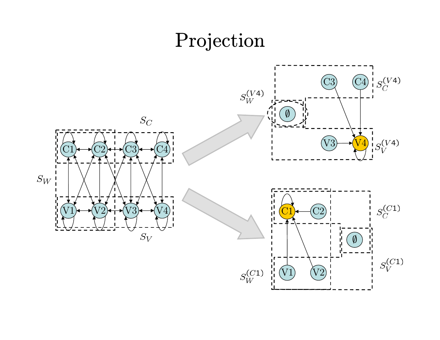### Projection

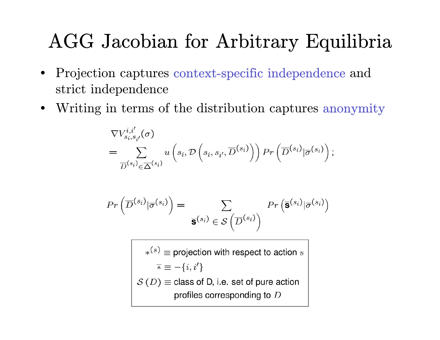### AGG Jacobian for Arbitrary Equilibria

- $\bullet$  Projection captures context-specific independence and strict independence
- •Writing in terms of the distribution captures anonymity

$$
\nabla V_{s_i,s_{i'}}^{i,i'}(\sigma)
$$
\n
$$
= \sum_{\overline{D}^{(s_i)} \in \overline{\Delta}^{(s_i)}} u\left(s_i, \mathcal{D}\left(s_i, s_{i'}, \overline{D}^{(s_i)}\right)\right) \Pr\left(\overline{D}^{(s_i)} | \overline{\sigma}^{(s_i)}\right);
$$

$$
Pr\left(\overline{D}^{(s_i)}|\overline{\sigma}^{(s_i)}\right) = \sum_{\overline{\mathbf{S}}^{(s_i)} \in \mathcal{S}\left(\overline{D}^{(s_i)}\right)} Pr\left(\overline{\mathbf{S}}^{(s_i)}|\overline{\sigma}^{(s_i)}\right)
$$

 $\kappa^{(s)} \equiv$  projection with respect to action s  $\overline{\ast} \equiv -\{i, i'\}$  $S(D)$  = class of D, i.e. set of pure action profiles corresponding to D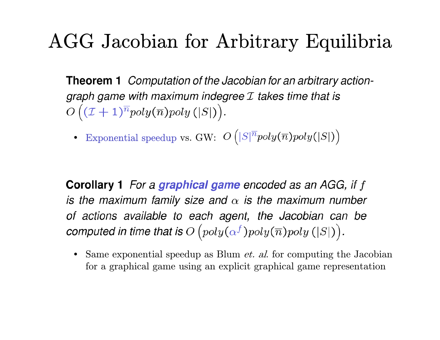#### AGG Jacobian for Arbitrary Equilibria

**Theorem 1** Computation of the Jacobian for an arbitrary actiongraph game with maximum indegree  $I$  takes time that is  $O((\mathcal{I} + 1)^{\overline{n}} poly(\overline{n}) poly(|S|)).$ 

• Exponential speedup vs. GW:

**Corollary 1** For a graphical game encoded as an AGG, if f is the maximum family size and  $\alpha$  is the maximum number of actions available to each agent, the Jacobian can be computed in time that is  $O(poly(\alpha^f) poly(\overline{n}) poly(|S|)).$ 

• Same exponential speedup as Blum *et. al.* for computing the Jacobian for a graphical game using an explicit graphical game representation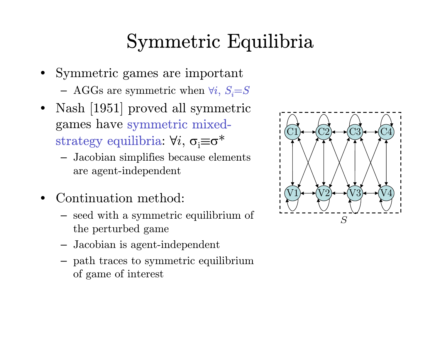### Symmetric Equilibria

- Symmetric games are important  $-$  AGGs are symmetric when  $\forall i, S_i = S$
- • Nash [1951] proved all symmetric games have symmetric mixedstrategy equilibria:  $\forall i, \, \sigma_i \equiv \sigma^*$ 
	- Jacobian simplifies because elements are agent-independent
- • Continuation method:
	- seed with a symmetric equilibrium of the perturbed game
	- Jacobian is agent-independent
	- path traces to symmetric equilibrium of game of interest

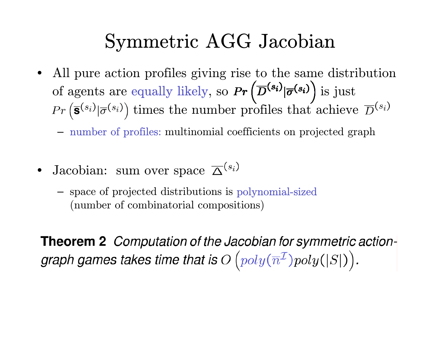#### Symmetric AGG Jacobian

- All pure action profiles giving rise to the same distribution of agents are equally likely, so  $Pr(\overline{D}^{(s_i)} | \overline{\sigma}^{(s_i)})$  is just times the number profiles that achieve
	- number of profiles: multinomial coefficients on projected graph
- Jacobian: sum over space
	- space of projected distributions is polynomial-sized (number of combinatorial compositions)

**Theorem 2** Computation of the Jacobian for symmetric actiongraph games takes time that is  $O(poly(\overline{n}^{\mathcal{I}})poly(|S|)).$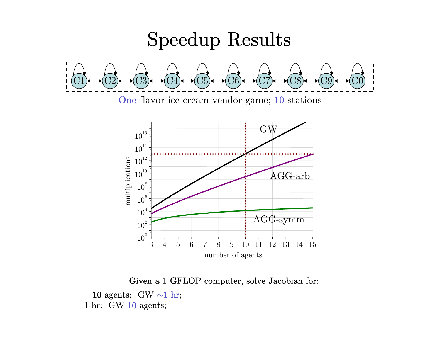

Given a 1 GFLOP computer, solve Jacobian for:

 $10 \text{ agents:} \ \text{GW} \sim 1 \ \text{hr};$  $1 \text{ hr:} \quad \text{GW } 10 \text{ agents};$